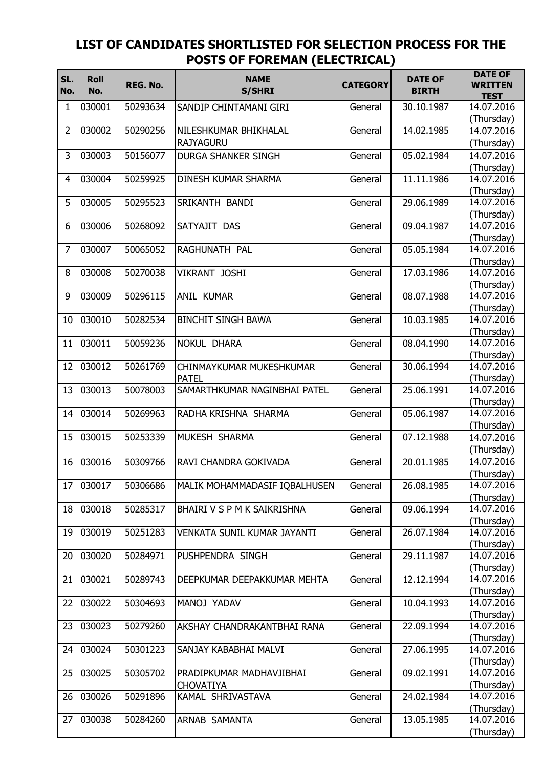## **LIST OF CANDIDATES SHORTLISTED FOR SELECTION PROCESS FOR THE POSTS OF FOREMAN (ELECTRICAL)**

| SL.            | <b>Roll</b> | REG. No. | <b>NAME</b>                                  | <b>CATEGORY</b> | <b>DATE OF</b> | <b>DATE OF</b><br><b>WRITTEN</b> |
|----------------|-------------|----------|----------------------------------------------|-----------------|----------------|----------------------------------|
| No.            | No.         |          | <b>S/SHRI</b>                                |                 | <b>BIRTH</b>   | <b>TEST</b>                      |
| 1              | 030001      | 50293634 | SANDIP CHINTAMANI GIRI                       | General         | 30.10.1987     | 14.07.2016                       |
|                |             |          |                                              |                 |                | (Thursday)                       |
| 2              | 030002      | 50290256 | NILESHKUMAR BHIKHALAL                        | General         | 14.02.1985     | 14.07.2016                       |
|                |             |          | <b>RAJYAGURU</b>                             |                 |                | (Thursday)                       |
| 3              | 030003      | 50156077 | <b>DURGA SHANKER SINGH</b>                   | General         | 05.02.1984     | 14.07.2016                       |
|                |             |          |                                              |                 |                | (Thursday)                       |
| $\overline{4}$ | 030004      | 50259925 | <b>DINESH KUMAR SHARMA</b>                   | General         | 11.11.1986     | 14.07.2016                       |
|                |             |          |                                              |                 |                | (Thursday)                       |
| 5              | 030005      | 50295523 | SRIKANTH BANDI                               | General         | 29.06.1989     | 14.07.2016                       |
| 6              | 030006      | 50268092 | SATYAJIT DAS                                 | General         | 09.04.1987     | (Thursday)<br>14.07.2016         |
|                |             |          |                                              |                 |                | (Thursday)                       |
| 7              | 030007      | 50065052 | RAGHUNATH PAL                                | General         | 05.05.1984     | 14.07.2016                       |
|                |             |          |                                              |                 |                | (Thursday)                       |
| 8              | 030008      | 50270038 | VIKRANT JOSHI                                | General         | 17.03.1986     | 14.07.2016                       |
|                |             |          |                                              |                 |                | (Thursday)                       |
| 9              | 030009      | 50296115 | <b>ANIL KUMAR</b>                            | General         | 08.07.1988     | 14.07.2016                       |
|                |             |          |                                              |                 |                | (Thursday)                       |
| 10             | 030010      | 50282534 | <b>BINCHIT SINGH BAWA</b>                    | General         | 10.03.1985     | 14.07.2016                       |
|                |             |          |                                              |                 |                | (Thursday)                       |
| 11             | 030011      | 50059236 | <b>NOKUL DHARA</b>                           | General         | 08.04.1990     | 14.07.2016                       |
|                |             |          |                                              |                 |                | (Thursday)                       |
| 12             | 030012      | 50261769 | CHINMAYKUMAR MUKESHKUMAR                     | General         | 30.06.1994     | 14.07.2016                       |
| 13             | 030013      | 50078003 | <b>PATEL</b><br>SAMARTHKUMAR NAGINBHAI PATEL | General         | 25.06.1991     | (Thursday)<br>14.07.2016         |
|                |             |          |                                              |                 |                | (Thursday)                       |
| 14             | 030014      | 50269963 | RADHA KRISHNA SHARMA                         | General         | 05.06.1987     | 14.07.2016                       |
|                |             |          |                                              |                 |                | (Thursday)                       |
| 15             | 030015      | 50253339 | MUKESH SHARMA                                | General         | 07.12.1988     | 14.07.2016                       |
|                |             |          |                                              |                 |                | (Thursday)                       |
| 16             | 030016      | 50309766 | RAVI CHANDRA GOKIVADA                        | General         | 20.01.1985     | 14.07.2016                       |
|                |             |          |                                              |                 |                | (Thursday)                       |
| 17             | 030017      | 50306686 | MALIK MOHAMMADASIF IQBALHUSEN                | General         | 26.08.1985     | 14.07.2016                       |
|                |             |          |                                              |                 |                | (Thursday)                       |
| 18             | 030018      | 50285317 | BHAIRI V S P M K SAIKRISHNA                  | General         | 09.06.1994     | 14.07.2016                       |
|                |             |          |                                              |                 |                | (Thursday)                       |
| 19             | 030019      | 50251283 | VENKATA SUNIL KUMAR JAYANTI                  | General         | 26.07.1984     | 14.07.2016                       |
| 20             | 030020      | 50284971 | PUSHPENDRA SINGH                             | General         | 29.11.1987     | (Thursday)<br>14.07.2016         |
|                |             |          |                                              |                 |                | (Thursday)                       |
| 21             | 030021      | 50289743 | DEEPKUMAR DEEPAKKUMAR MEHTA                  | General         | 12.12.1994     | 14.07.2016                       |
|                |             |          |                                              |                 |                | (Thursday)                       |
| 22             | 030022      | 50304693 | MANOJ YADAV                                  | General         | 10.04.1993     | 14.07.2016                       |
|                |             |          |                                              |                 |                | (Thursday)                       |
| 23             | 030023      | 50279260 | AKSHAY CHANDRAKANTBHAI RANA                  | General         | 22.09.1994     | 14.07.2016                       |
|                |             |          |                                              |                 |                | (Thursday)                       |
| 24             | 030024      | 50301223 | SANJAY KABABHAI MALVI                        | General         | 27.06.1995     | 14.07.2016                       |
|                |             |          |                                              |                 |                | (Thursday)                       |
| 25             | 030025      | 50305702 | PRADIPKUMAR MADHAVJIBHAI                     | General         | 09.02.1991     | 14.07.2016                       |
| 26             | 030026      | 50291896 | <b>CHOVATIYA</b><br>KAMAL SHRIVASTAVA        | General         | 24.02.1984     | (Thursday)<br>14.07.2016         |
|                |             |          |                                              |                 |                | (Thursday)                       |
| 27             | 030038      | 50284260 | ARNAB SAMANTA                                | General         | 13.05.1985     | 14.07.2016                       |
|                |             |          |                                              |                 |                | (Thursday)                       |